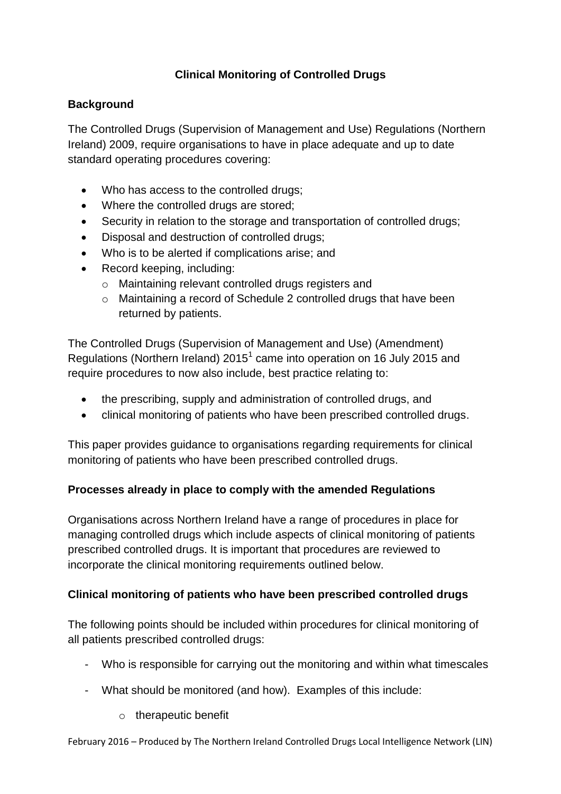# **Clinical Monitoring of Controlled Drugs**

## **Background**

The Controlled Drugs (Supervision of Management and Use) Regulations (Northern Ireland) 2009, require organisations to have in place adequate and up to date standard operating procedures covering:

- Who has access to the controlled drugs;
- Where the controlled drugs are stored:
- Security in relation to the storage and transportation of controlled drugs;
- Disposal and destruction of controlled drugs;
- Who is to be alerted if complications arise; and
- Record keeping, including:
	- o Maintaining relevant controlled drugs registers and
	- o Maintaining a record of Schedule 2 controlled drugs that have been returned by patients.

The Controlled Drugs (Supervision of Management and Use) (Amendment) Regulations (Northern Ireland) 2015<sup>1</sup> came into operation on 16 July 2015 and require procedures to now also include, best practice relating to:

- the prescribing, supply and administration of controlled drugs, and
- clinical monitoring of patients who have been prescribed controlled drugs.

This paper provides guidance to organisations regarding requirements for clinical monitoring of patients who have been prescribed controlled drugs.

### **Processes already in place to comply with the amended Regulations**

Organisations across Northern Ireland have a range of procedures in place for managing controlled drugs which include aspects of clinical monitoring of patients prescribed controlled drugs. It is important that procedures are reviewed to incorporate the clinical monitoring requirements outlined below.

### **Clinical monitoring of patients who have been prescribed controlled drugs**

The following points should be included within procedures for clinical monitoring of all patients prescribed controlled drugs:

- Who is responsible for carrying out the monitoring and within what timescales
- What should be monitored (and how). Examples of this include:
	- o therapeutic benefit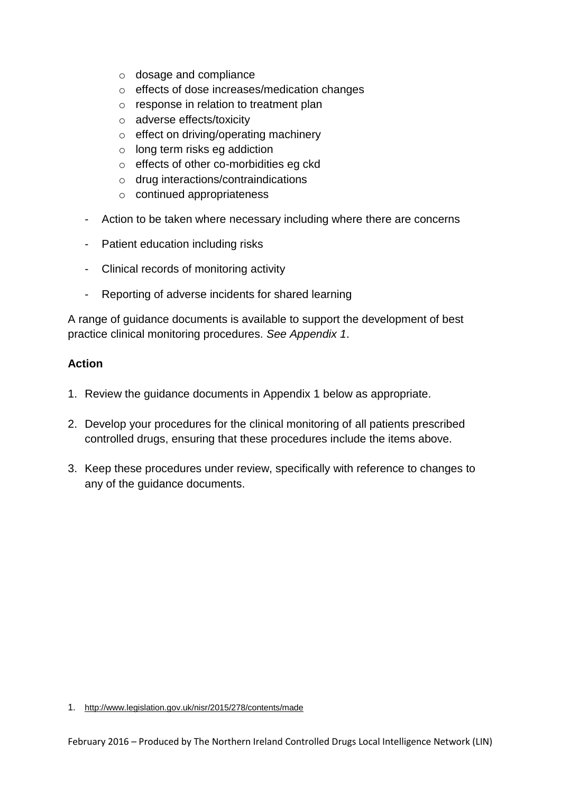- o dosage and compliance
- o effects of dose increases/medication changes
- o response in relation to treatment plan
- o adverse effects/toxicity
- o effect on driving/operating machinery
- o long term risks eg addiction
- o effects of other co-morbidities eg ckd
- o drug interactions/contraindications
- o continued appropriateness
- Action to be taken where necessary including where there are concerns
- Patient education including risks
- Clinical records of monitoring activity
- Reporting of adverse incidents for shared learning

A range of guidance documents is available to support the development of best practice clinical monitoring procedures. *See Appendix 1*.

#### **Action**

- 1. Review the guidance documents in Appendix 1 below as appropriate.
- 2. Develop your procedures for the clinical monitoring of all patients prescribed controlled drugs, ensuring that these procedures include the items above.
- 3. Keep these procedures under review, specifically with reference to changes to any of the guidance documents.

<sup>1.</sup> <http://www.legislation.gov.uk/nisr/2015/278/contents/made>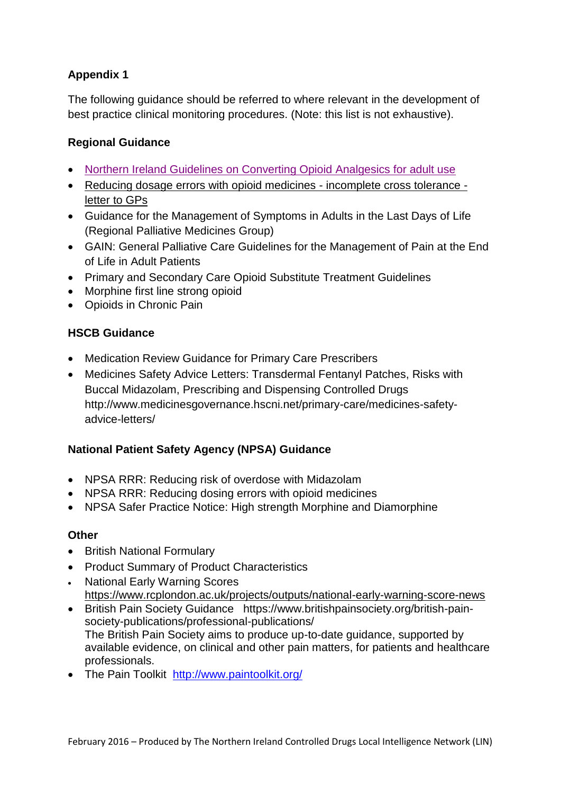# **Appendix 1**

The following guidance should be referred to where relevant in the development of best practice clinical monitoring procedures. (Note: this list is not exhaustive).

# **Regional Guidance**

- [Northern Ireland Guidelines on Converting Opioid Analgesics for adult use](http://www.medicinesgovernance.hscni.net/primary-care/high-risk-medicines/)
- [Reducing dosage errors with opioid medicines -](http://www.medicinesgovernance.hscni.net/download/primarycare/medicines_safety_advice_&_letters/Opioid_Cross_tolerance_letter_March_2014.doc) incomplete cross tolerance [letter to GPs](http://www.medicinesgovernance.hscni.net/download/primarycare/medicines_safety_advice_&_letters/Opioid_Cross_tolerance_letter_March_2014.doc)
- Guidance for the Management of Symptoms in Adults in the Last Days of Life (Regional Palliative Medicines Group)
- GAIN: General Palliative Care Guidelines for the Management of Pain at the End of Life in Adult Patients
- Primary and Secondary Care Opioid Substitute Treatment Guidelines
- [Morphine first line strong opioid](http://www.hscboard.hscni.net/medicinesmanagement/Prescribing%20Guidance/%20Morphine_at_first_line_strong_opioid.pdf)
- [Opioids in Chronic Pain](http://niformulary.hscni.net/Formulary/Adult/PDF/Opioids%20_in_Chronic_Pain.pdf)

# **HSCB Guidance**

- Medication Review Guidance for Primary Care Prescribers
- Medicines Safety Advice Letters: Transdermal Fentanyl Patches, Risks with Buccal Midazolam, Prescribing and Dispensing Controlled Drugs http://www.medicinesgovernance.hscni.net/primary-care/medicines-safetyadvice-letters/

### **National Patient Safety Agency (NPSA) Guidance**

- NPSA RRR: Reducing risk of overdose with Midazolam
- NPSA RRR: Reducing dosing errors with opioid medicines
- NPSA Safer Practice Notice: High strength Morphine and Diamorphine

### **Other**

- British National Formulary
- Product Summary of Product Characteristics
- National Early Warning Scores <https://www.rcplondon.ac.uk/projects/outputs/national-early-warning-score-news>
- British Pain Society Guidance https://www.britishpainsociety.org/british-painsociety-publications/professional-publications/ The British Pain Society aims to produce up-to-date guidance, supported by available evidence, on clinical and other pain matters, for patients and healthcare professionals.
- The Pain Toolkit <http://www.paintoolkit.org/>